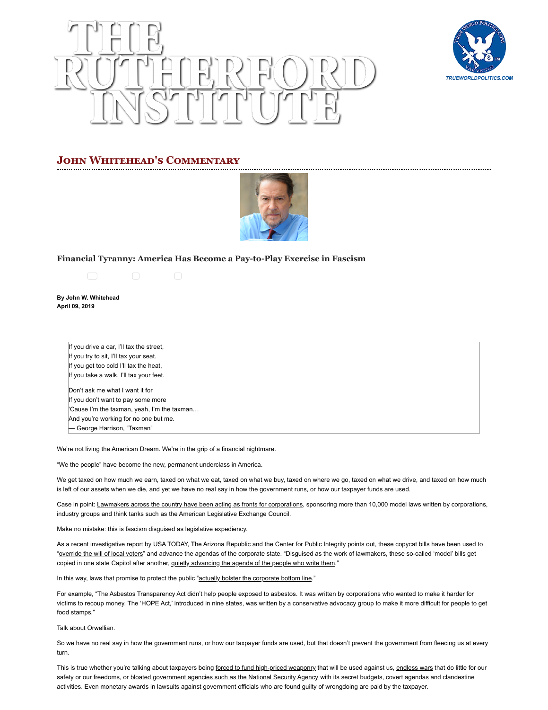



# **JOHN WHITEHEAD'S COMMENTARY**



## **[Financial Tyranny: America Has Become a Pay-to-Play Exercise in Fascism](https://www.rutherford.org/publications_resources/john_whiteheads_commentary/financial_tyranny_america_has_become_a_pay_to_play_exercise_in_fascism)**



**By John W. Whitehead April 09, 2019**

> If you drive a car, I'll tax the street, If you try to sit, I'll tax your seat. If you get too cold I'll tax the heat, If you take a walk, I'll tax your feet.

Don't ask me what I want it for If you don't want to pay some more 'Cause I'm the taxman, yeah, I'm the taxman… And you're working for no one but me. — George Harrison, "Taxman"

We're not living the American Dream. We're in the grip of a financial nightmare.

"We the people" have become the new, permanent underclass in America.

We get taxed on how much we earn, taxed on what we eat, taxed on what we buy, taxed on where we go, taxed on what we drive, and taxed on how much is left of our assets when we die, and yet we have no real say in how the government runs, or how our taxpayer funds are used.

Case in point: [Lawmakers across the country have been acting as fronts for corporations,](https://www.usatoday.com/in-depth/news/investigations/2019/04/03/abortion-gun-laws-stand-your-ground-model-bills-conservatives-liberal-corporate-influence-lobbyists/3162173002/) sponsoring more than 10,000 model laws written by corporations, industry groups and think tanks such as the American Legislative Exchange Council.

Make no mistake: this is fascism disguised as legislative expediency.

As a recent investigative report by USA TODAY, The Arizona Republic and the Center for Public Integrity points out, these copycat bills have been used to "[override the will of local voters](https://www.usatoday.com/in-depth/news/investigations/2019/04/03/abortion-gun-laws-stand-your-ground-model-bills-conservatives-liberal-corporate-influence-lobbyists/3162173002/)" and advance the agendas of the corporate state. "Disguised as the work of lawmakers, these so-called 'model' bills get copied in one state Capitol after another, [quietly advancing the agenda of the people who write them](https://www.usatoday.com/in-depth/news/investigations/2019/04/03/abortion-gun-laws-stand-your-ground-model-bills-conservatives-liberal-corporate-influence-lobbyists/3162173002/)."

In this way, laws that promise to protect the public ["actually bolster the corporate bottom line.](https://www.usatoday.com/in-depth/news/investigations/2019/04/03/abortion-gun-laws-stand-your-ground-model-bills-conservatives-liberal-corporate-influence-lobbyists/3162173002/)"

For example, "The Asbestos Transparency Act didn't help people exposed to asbestos. It was written by corporations who wanted to make it harder for victims to recoup money. The 'HOPE Act,' introduced in nine states, was written by a conservative advocacy group to make it more difficult for people to get food stamps."

Talk about Orwellian.

So we have no real say in how the government runs, or how our taxpayer funds are used, but that doesn't prevent the government from fleecing us at every turn.

 $h_{\text{max}}$  is a commentary financial  $\frac{1}{2}$  org/play\_to\_play\_to\_play\_to\_play\_to\_play\_to\_play\_to\_play\_to\_play\_to\_play\_to\_play\_to\_play\_to\_play\_to\_play\_to\_play\_to\_play\_to\_play\_to\_play\_to\_play\_to\_play\_to\_play\_to\_play\_to\_pla This is true whether you're talking about taxpayers being [forced to fund high-priced weaponry](http://www.newsweek.com/how-americas-police-became-army-1033-program-264537) that will be used against us, [endless wars](http://www.costsofwar.org/article/economic-cost-summary) that do little for our safety or our freedoms, or [bloated government agencies such as the National Security Agency](http://www.wired.com/2014/07/the-big-costs-of-nsa-surveillance-that-no-ones-talking-about/) with its secret budgets, covert agendas and clandestine activities. Even monetary awards in lawsuits against government officials who are found guilty of wrongdoing are paid by the taxpayer.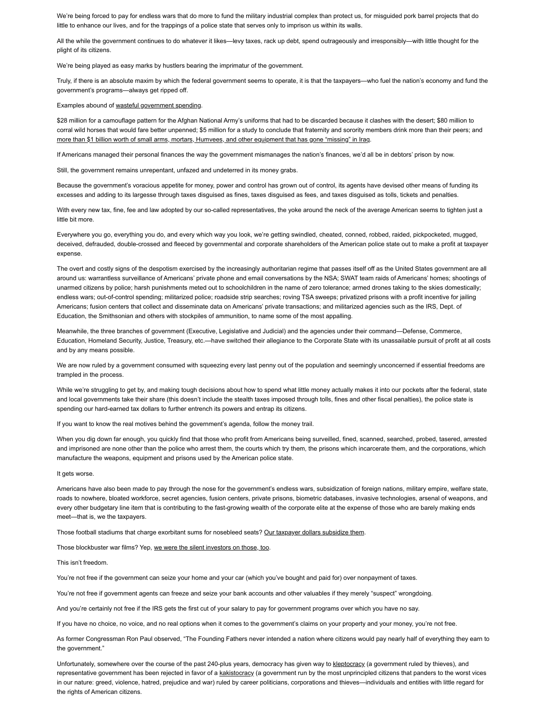We're being forced to pay for endless wars that do more to fund the military industrial complex than protect us, for misguided pork barrel projects that do little to enhance our lives, and for the trappings of a police state that serves only to imprison us within its walls.

All the while the government continues to do whatever it likes—levy taxes, rack up debt, spend outrageously and irresponsibly—with little thought for the plight of its citizens.

We're being played as easy marks by hustlers bearing the imprimatur of the government.

Truly, if there is an absolute maxim by which the federal government seems to operate, it is that the taxpayers—who fuel the nation's economy and fund the government's programs—always get ripped off.

#### Examples abound of [wasteful government spending](https://www.msn.com/en-us/money/markets/the-most-outrageous-ways-the-american-government-is-spending-its-money/ss-BBQ6WjX#image=1).

\$28 million for a camouflage pattern for the Afghan National Army's uniforms that had to be discarded because it clashes with the desert; \$80 million to corral wild horses that would fare better unpenned; \$5 million for a study to conclude that fraternity and sorority members drink more than their peers; and [more than \\$1 billion worth of small arms, mortars, Humvees, and other equipment that has gone "missing" in Iraq](https://www.msn.com/en-us/money/markets/the-most-outrageous-ways-the-american-government-is-spending-its-money/ss-BBQ6WjX#image=1).

If Americans managed their personal finances the way the government mismanages the nation's finances, we'd all be in debtors' prison by now.

Still, the government remains unrepentant, unfazed and undeterred in its money grabs.

Because the government's voracious appetite for money, power and control has grown out of control, its agents have devised other means of funding its excesses and adding to its largesse through taxes disguised as fines, taxes disguised as fees, and taxes disguised as tolls, tickets and penalties.

With every new tax, fine, fee and law adopted by our so-called representatives, the yoke around the neck of the average American seems to tighten just a little bit more.

Everywhere you go, everything you do, and every which way you look, we're getting swindled, cheated, conned, robbed, raided, pickpocketed, mugged, deceived, defrauded, double-crossed and fleeced by governmental and corporate shareholders of the American police state out to make a profit at taxpayer expense.

The overt and costly signs of the despotism exercised by the increasingly authoritarian regime that passes itself off as the United States government are all around us: warrantless surveillance of Americans' private phone and email conversations by the NSA; SWAT team raids of Americans' homes; shootings of unarmed citizens by police; harsh punishments meted out to schoolchildren in the name of zero tolerance; armed drones taking to the skies domestically; endless wars; out-of-control spending; militarized police; roadside strip searches; roving TSA sweeps; privatized prisons with a profit incentive for jailing Americans; fusion centers that collect and disseminate data on Americans' private transactions; and militarized agencies such as the IRS, Dept. of Education, the Smithsonian and others with stockpiles of ammunition, to name some of the most appalling.

Meanwhile, the three branches of government (Executive, Legislative and Judicial) and the agencies under their command—Defense, Commerce, Education, Homeland Security, Justice, Treasury, etc.—have switched their allegiance to the Corporate State with its unassailable pursuit of profit at all costs and by any means possible.

We are now ruled by a government consumed with squeezing every last penny out of the population and seemingly unconcerned if essential freedoms are trampled in the process.

While we're struggling to get by, and making tough decisions about how to spend what little money actually makes it into our pockets after the federal, state and local governments take their share (this doesn't include the stealth taxes imposed through tolls, fines and other fiscal penalties), the police state is spending our hard-earned tax dollars to further entrench its powers and entrap its citizens.

If you want to know the real motives behind the government's agenda, follow the money trail.

When you dig down far enough, you quickly find that those who profit from Americans being surveilled, fined, scanned, searched, probed, tasered, arrested and imprisoned are none other than the police who arrest them, the courts which try them, the prisons which incarcerate them, and the corporations, which manufacture the weapons, equipment and prisons used by the American police state.

### It gets worse.

Americans have also been made to pay through the nose for the government's endless wars, subsidization of foreign nations, military empire, welfare state, roads to nowhere, bloated workforce, secret agencies, fusion centers, private prisons, biometric databases, invasive technologies, arsenal of weapons, and every other budgetary line item that is contributing to the fast-growing wealth of the corporate elite at the expense of those who are barely making ends meet—that is, we the taxpayers.

Those football stadiums that charge exorbitant sums for nosebleed seats? [Our taxpayer dollars subsidize them](http://www.theatlantic.com/magazine/archive/2013/10/how-the-nfl-fleeces-taxpayers/309448/).

Those blockbuster war films? Yep, [we were the silent investors on those, too](http://www.salon.com/2011/08/29/sirota_military_movies/).

This isn't freedom.

You're not free if the government can seize your home and your car (which you've bought and paid for) over nonpayment of taxes.

You're not free if government agents can freeze and seize your bank accounts and other valuables if they merely "suspect" wrongdoing.

And you're certainly not free if the IRS gets the first cut of your salary to pay for government programs over which you have no say.

If you have no choice, no voice, and no real options when it comes to the government's claims on your property and your money, you're not free.

As former Congressman Ron Paul observed, "The Founding Fathers never intended a nation where citizens would pay nearly half of everything they earn to the government."

the rights of American citizens.  $\overline{\phantom{a}}$ Unfortunately, somewhere over the course of the past 240-plus years, democracy has given way to [kleptocracy](https://www.washingtonpost.com/opinions/five-myths-about-kleptocracy/2017/01/04/42b30d72-c78f-11e6-8bee-54e800ef2a63_story.html) (a government ruled by thieves), and representative government has been rejected in favor of a [kakistocracy](https://www.huffingtonpost.com/rick-finkelstein/kakistocracy-a-word-you-s_b_132417.html) (a government run by the most unprincipled citizens that panders to the worst vices in our nature: greed, violence, hatred, prejudice and war) ruled by career politicians, corporations and thieves—individuals and entities with little regard for